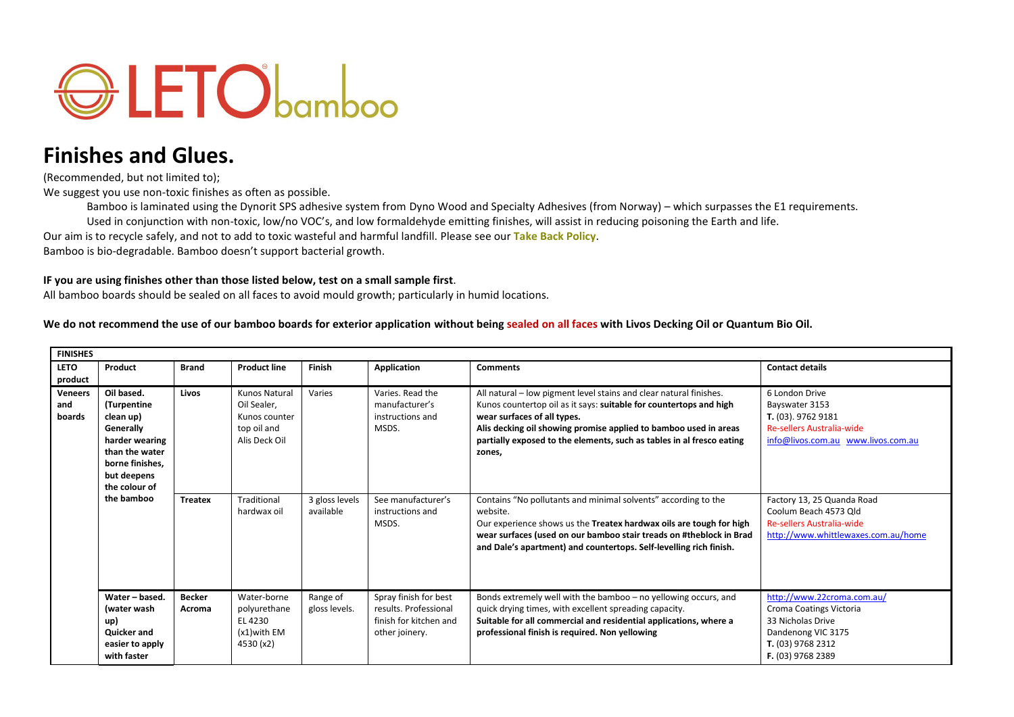

## **Finishes and Glues.**

(Recommended, but not limited to);

We suggest you use non-toxic finishes as often as possible.

Bamboo is laminated using the Dynorit SPS adhesive system from Dyno Wood and Specialty Adhesives (from Norway) – which surpasses the E1 requirements. Used in conjunction with non-toxic, low/no VOC's, and low formaldehyde emitting finishes, will assist in reducing poisoning the Earth and life.

Our aim is to recycle safely, and not to add to toxic wasteful and harmful landfill. Please see our **[Take Back Policy](http://letobamboo.com/wp-content/uploads/2015/08/LETObamboo-Take-Back-2015.pdf)**.

Bamboo is bio-degradable. Bamboo doesn't support bacterial growth.

## **IF you are using finishes other than those listed below, test on a small sample first**.

All bamboo boards should be sealed on all faces to avoid mould growth; particularly in humid locations.

**We do not recommend the use of our bamboo boards for exterior application without being sealed on all faces with Livos Decking Oil or Quantum Bio Oil.**

| <b>FINISHES</b>                 |                                                                                                                                                          |                         |                                                                               |                             |                                                                                            |                                                                                                                                                                                                                                                                                                                                |                                                                                                                                            |  |  |  |
|---------------------------------|----------------------------------------------------------------------------------------------------------------------------------------------------------|-------------------------|-------------------------------------------------------------------------------|-----------------------------|--------------------------------------------------------------------------------------------|--------------------------------------------------------------------------------------------------------------------------------------------------------------------------------------------------------------------------------------------------------------------------------------------------------------------------------|--------------------------------------------------------------------------------------------------------------------------------------------|--|--|--|
| <b>LETO</b><br>product          | Product                                                                                                                                                  | <b>Brand</b>            | <b>Product line</b>                                                           | Finish                      | <b>Application</b>                                                                         | <b>Comments</b>                                                                                                                                                                                                                                                                                                                | <b>Contact details</b>                                                                                                                     |  |  |  |
| <b>Veneers</b><br>and<br>boards | Oil based.<br>(Turpentine<br>clean up)<br>Generally<br>harder wearing<br>than the water<br>borne finishes.<br>but deepens<br>the colour of<br>the bamboo | Livos                   | Kunos Natural<br>Oil Sealer,<br>Kunos counter<br>top oil and<br>Alis Deck Oil | Varies                      | Varies, Read the<br>manufacturer's<br>instructions and<br>MSDS.                            | All natural - low pigment level stains and clear natural finishes.<br>Kunos countertop oil as it says: suitable for countertops and high<br>wear surfaces of all types.<br>Alis decking oil showing promise applied to bamboo used in areas<br>partially exposed to the elements, such as tables in al fresco eating<br>zones, | 6 London Drive<br>Bayswater 3153<br>T. (03). 9762 9181<br><b>Re-sellers Australia-wide</b><br>info@livos.com.au www.livos.com.au           |  |  |  |
|                                 |                                                                                                                                                          | <b>Treatex</b>          | Traditional<br>hardwax oil                                                    | 3 gloss levels<br>available | See manufacturer's<br>instructions and<br>MSDS.                                            | Contains "No pollutants and minimal solvents" according to the<br>website.<br>Our experience shows us the Treatex hardwax oils are tough for high<br>wear surfaces (used on our bamboo stair treads on #theblock in Brad<br>and Dale's apartment) and countertops. Self-levelling rich finish.                                 | Factory 13, 25 Quanda Road<br>Coolum Beach 4573 Old<br><b>Re-sellers Australia-wide</b><br>http://www.whittlewaxes.com.au/home             |  |  |  |
|                                 | Water - based.<br>(water wash<br>up)<br>Quicker and<br>easier to apply<br>with faster                                                                    | <b>Becker</b><br>Acroma | Water-borne<br>polyurethane<br>EL 4230<br>$(x1)$ with EM<br>4530 (x2)         | Range of<br>gloss levels.   | Spray finish for best<br>results. Professional<br>finish for kitchen and<br>other joinery. | Bonds extremely well with the bamboo - no yellowing occurs, and<br>quick drying times, with excellent spreading capacity.<br>Suitable for all commercial and residential applications, where a<br>professional finish is required. Non yellowing                                                                               | http://www.22croma.com.au/<br>Croma Coatings Victoria<br>33 Nicholas Drive<br>Dandenong VIC 3175<br>T. (03) 9768 2312<br>F. (03) 9768 2389 |  |  |  |